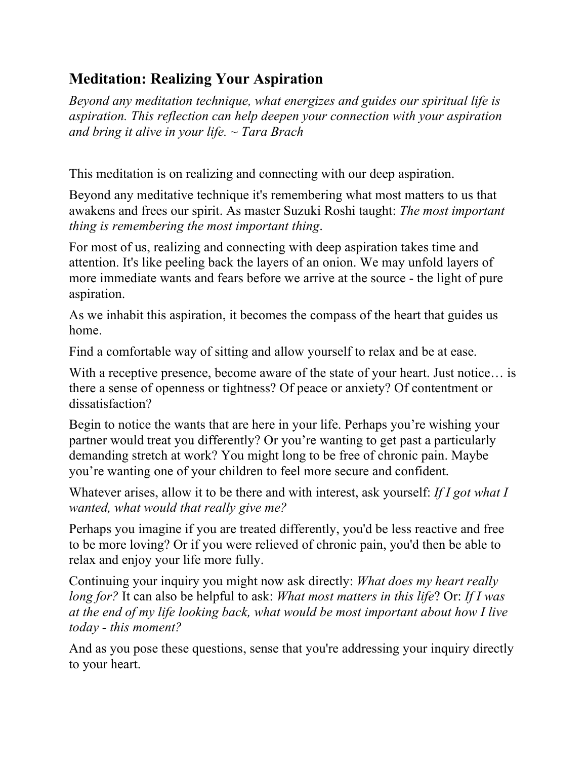## **Meditation: Realizing Your Aspiration**

*Beyond any meditation technique, what energizes and guides our spiritual life is aspiration. This reflection can help deepen your connection with your aspiration and bring it alive in your life. ~ Tara Brach*

This meditation is on realizing and connecting with our deep aspiration.

Beyond any meditative technique it's remembering what most matters to us that awakens and frees our spirit. As master Suzuki Roshi taught: *The most important thing is remembering the most important thing*.

For most of us, realizing and connecting with deep aspiration takes time and attention. It's like peeling back the layers of an onion. We may unfold layers of more immediate wants and fears before we arrive at the source - the light of pure aspiration.

As we inhabit this aspiration, it becomes the compass of the heart that guides us home.

Find a comfortable way of sitting and allow yourself to relax and be at ease.

With a receptive presence, become aware of the state of your heart. Just notice... is there a sense of openness or tightness? Of peace or anxiety? Of contentment or dissatisfaction?

Begin to notice the wants that are here in your life. Perhaps you're wishing your partner would treat you differently? Or you're wanting to get past a particularly demanding stretch at work? You might long to be free of chronic pain. Maybe you're wanting one of your children to feel more secure and confident.

Whatever arises, allow it to be there and with interest, ask yourself: *If I got what I wanted, what would that really give me?*

Perhaps you imagine if you are treated differently, you'd be less reactive and free to be more loving? Or if you were relieved of chronic pain, you'd then be able to relax and enjoy your life more fully.

Continuing your inquiry you might now ask directly: *What does my heart really long for?* It can also be helpful to ask: *What most matters in this life*? Or: *If I was at the end of my life looking back, what would be most important about how I live today - this moment?*

And as you pose these questions, sense that you're addressing your inquiry directly to your heart.